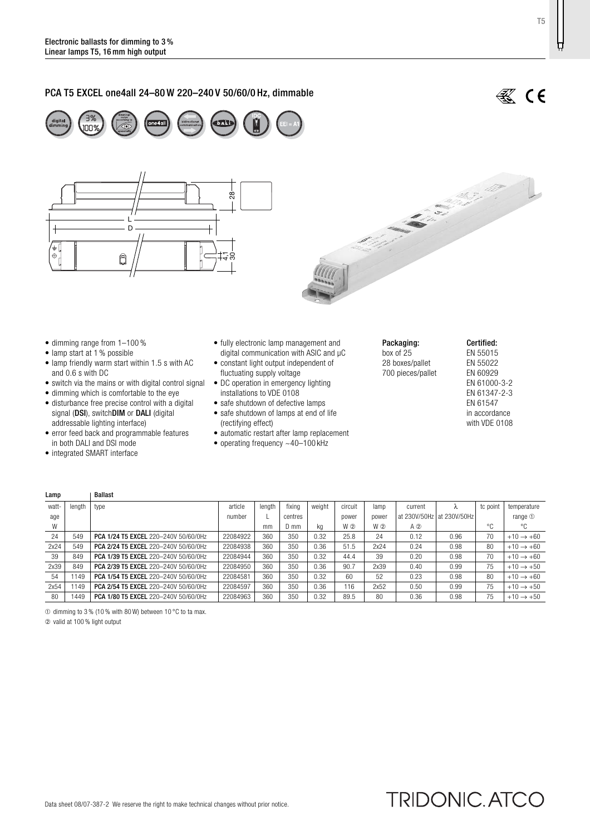# PCA T5 EXCEL one4all 24–80 W 220–240 V 50/60/0 Hz, dimmable







- dimming range from 1–100 %
- lamp start at 1 % possible
- lamp friendly warm start within 1.5 s with AC and 0.6 s with DC
- switch via the mains or with digital control signal
- dimming which is comfortable to the eye
- disturbance free precise control with a digital signal (DSI), switchDIM or DALI (digital addressable lighting interface)
- error feed back and programmable features in both DALI and DSI mode
- integrated SMART interface

Lamn | Rallast

- fully electronic lamp management and digital communication with ASIC and µC
- constant light output independent of fluctuating supply voltage
- DC operation in emergency lighting installations to VDE 0108
- safe shutdown of defective lamps
- safe shutdown of lamps at end of life
- (rectifying effect)
- automatic restart after lamp replacement • operating frequency ~40–100 kHz
- 
- Packaging: box of 25 28 boxes/pallet 700 pieces/pallet

### Certified: EN 55015 EN 55022 EN 60929 EN 61000-3-2 EN 61347-2-3 EN 61547 in accordance with VDE 0108

| ----- |        | -------                              |          |        |         |        |         |       |             |                           |               |                       |
|-------|--------|--------------------------------------|----------|--------|---------|--------|---------|-------|-------------|---------------------------|---------------|-----------------------|
| watt- | length | type                                 | article  | lenath | fixina  | weight | circuit | lamp  | current     | Λ                         | tc point      | temperature           |
| age   |        |                                      | number   |        | centres |        | power   | power |             | at 230V/50Hz at 230V/50Hz |               | range $1$             |
| W     |        |                                      |          | mm     | D mm    | kg     | W ②     | W 2   | $A$ $\odot$ |                           | $\circ$<br>٠. | °C                    |
| 24    | 549    | PCA 1/24 T5 EXCEL 220-240V 50/60/0Hz | 22084922 | 360    | 350     | 0.32   | 25.8    | 24    | 0.12        | 0.96                      | 70            | $+10 \rightarrow +60$ |
| 2x24  | 549    | PCA 2/24 T5 EXCEL 220-240V 50/60/0Hz | 22084938 | 360    | 350     | 0.36   | 51.5    | 2x24  | 0.24        | 0.98                      | 80            | $+10 \rightarrow +60$ |
| 39    | 849    | PCA 1/39 T5 EXCEL 220-240V 50/60/0Hz | 22084944 | 360    | 350     | 0.32   | 44.4    | 39    | 0.20        | 0.98                      | 70            | $+10 \rightarrow +60$ |
| 2x39  | 849    | PCA 2/39 T5 EXCEL 220-240V 50/60/0Hz | 22084950 | 360    | 350     | 0.36   | 90.7    | 2x39  | 0.40        | 0.99                      | 75            | $+10 \rightarrow +50$ |
| 54    | 1149   | PCA 1/54 T5 EXCEL 220-240V 50/60/0Hz | 22084581 | 360    | 350     | 0.32   | 60      | 52    | 0.23        | 0.98                      | 80            | $+10 \rightarrow +60$ |
| 2x54  | 149    | PCA 2/54 T5 EXCEL 220-240V 50/60/0Hz | 22084597 | 360    | 350     | 0.36   | 116     | 2x52  | 0.50        | 0.99                      | 75            | $+10 \rightarrow +50$ |
| 80    | 1449   | PCA 1/80 T5 EXCEL 220-240V 50/60/0Hz | 22084963 | 360    | 350     | 0.32   | 89.5    | 80    | 0.36        | 0.98                      | 75            | $+10 \rightarrow +50$ |

➀ dimming to 3 % (10 % with 80 W) between 10 °C to ta max.

➁ valid at 100 % light output

T5

Ħ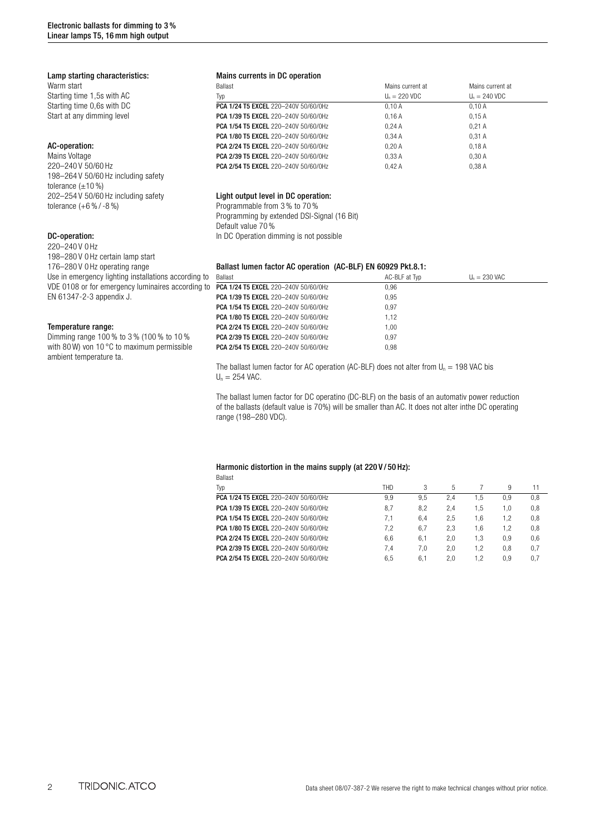# Lamp starting characteristics:

Warm start Starting time 1,5s with AC Starting time 0,6s with DC Start at any dimming level

# AC-operation:

Mains Voltage 220–240 V 50/60 Hz 198–264 V 50/60 Hz including safety tolerance  $(\pm 10\%)$ 202–254 V 50/60 Hz including safety tolerance (+6 % / -8 %)

# DC-operation:

220–240 V 0 Hz 198–280 V 0 Hz certain lamp start 176–280 V 0 Hz operating range Use in emergency lighting installations according VDE 0108 or for emergency luminaires according EN 61347-2-3 appendix J.

#### Temperature range:

Dimming range 100 % to 3 % (100 % to 10 % with 80 W) von 10 °C to maximum permissible ambient temperature ta.

# Mains currents in DC operation

| Ballast                              | Mains current at        | Mains current at        |
|--------------------------------------|-------------------------|-------------------------|
| Typ                                  | $U_n = 220 \text{ VDC}$ | $U_n = 240 \text{ VDC}$ |
| PCA 1/24 T5 EXCEL 220-240V 50/60/0Hz | 0.10A                   | 0.10A                   |
| PCA 1/39 T5 EXCEL 220-240V 50/60/0Hz | 0.16A                   | 0.15A                   |
| PCA 1/54 T5 EXCEL 220-240V 50/60/0Hz | 0.24A                   | 0.21A                   |
| PCA 1/80 T5 EXCEL 220-240V 50/60/0Hz | 0.34A                   | 0.31A                   |
| PCA 2/24 T5 EXCEL 220-240V 50/60/0Hz | 0.20A                   | 0.18A                   |
| PCA 2/39 T5 EXCEL 220-240V 50/60/0Hz | 0.33A                   | 0.30A                   |
| PCA 2/54 T5 EXCEL 220-240V 50/60/0Hz | 0.42A                   | 0.38A                   |

## Light output level in DC operation:

Programmable from 3 % to 70 % Programming by extended DSI-Signal (16 Bit) Default value 70 % In DC Operation dimming is not possible

## Ballast lumen factor AC operation (AC-BLF) EN 60929 Pkt.8.1:

| a to  | Ballast                                     | AC-BLF at Typ | $U_n = 230$ VAC |
|-------|---------------------------------------------|---------------|-----------------|
| ıa to | PCA 1/24 T5 EXCEL 220-240V 50/60/0Hz        | 0.96          |                 |
|       | PCA 1/39 T5 EXCEL 220-240V 50/60/0Hz        | 0.95          |                 |
|       | PCA 1/54 T5 EXCEL 220-240V 50/60/0Hz        | 0.97          |                 |
|       | <b>PCA 1/80 T5 EXCEL 220-240V 50/60/0Hz</b> | 1.12          |                 |
|       | PCA 2/24 T5 EXCEL 220-240V 50/60/0Hz        | 1.00          |                 |
|       | PCA 2/39 T5 EXCEL 220-240V 50/60/0Hz        | 0.97          |                 |
|       | <b>PCA 2/54 T5 EXCEL 220-240V 50/60/0Hz</b> | 0.98          |                 |
|       |                                             |               |                 |

The ballast lumen factor for AC operation (AC-BLF) does not alter from  $U_n = 198$  VAC bis  $U_n = 254$  VAC.

The ballast lumen factor for DC operatino (DC-BLF) on the basis of an automativ power reduction of the ballasts (default value is 70%) will be smaller than AC. It does not alter inthe DC operating range (198–280 VDC).

## Harmonic distortion in the mains supply (at 220 V / 50 Hz):

| <b>Ballast</b>                              |            |     |     |     |     |     |
|---------------------------------------------|------------|-----|-----|-----|-----|-----|
| Typ                                         | <b>THD</b> | 3   | 5   |     | 9   | 11  |
| PCA 1/24 T5 EXCEL 220-240V 50/60/0Hz        | 9.9        | 9.5 | 2.4 | 1.5 | 0.9 | 0,8 |
| PCA 1/39 T5 EXCEL 220-240V 50/60/0Hz        | 8.7        | 8.2 | 2.4 | 1.5 | 1.0 | 0,8 |
| <b>PCA 1/54 T5 EXCEL 220-240V 50/60/0Hz</b> | 7.1        | 6.4 | 2.5 | 1.6 | 1.2 | 0,8 |
| <b>PCA 1/80 T5 EXCEL 220-240V 50/60/0Hz</b> | 7.2        | 6.7 | 2.3 | 1.6 | 1.2 | 0,8 |
| PCA 2/24 T5 EXCEL 220-240V 50/60/0Hz        | 6.6        | 6.1 | 2.0 | 1.3 | 0.9 | 0.6 |
| PCA 2/39 T5 EXCEL 220-240V 50/60/0Hz        | 7.4        | 7.0 | 2.0 | 1.2 | 0.8 | 0,7 |
| PCA 2/54 T5 EXCEL 220-240V 50/60/0Hz        | 6.5        | 6.1 | 2.0 | 1.2 | 0.9 | 0.7 |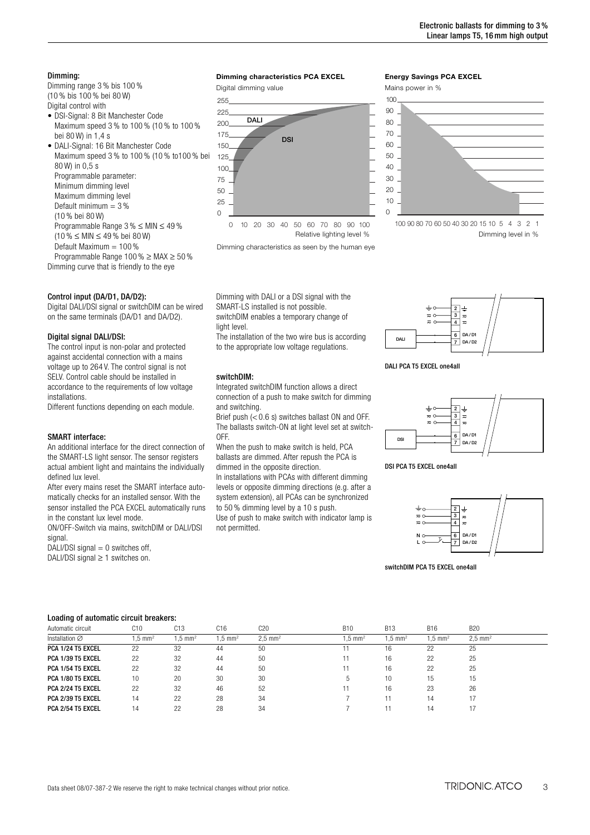# Dimming:

Dimming range 3 % bis 100 % (10 % bis 100 % bei 80 W) Digital control with

- DSI-Signal: 8 Bit Manchester Code Maximum speed 3 % to 100 % (10 % to 100 % bei 80 W) in 1,4 s
- DALI-Signal: 16 Bit Manchester Code Maximum speed 3 % to 100 % (10 % to100 % bei 80 W) in 0,5 s Programmable parameter: Minimum dimming level Maximum dimming level Default minimum  $=$  3% (10 % bei 80 W) Programmable Range 3 % ≤ MIN ≤ 49 % (10 % ≤ MIN ≤ 49 % bei 80 W) Default Maximum  $= 100\%$
- Programmable Range 100 % ≥ MAX ≥ 50 % Dimming curve that is friendly to the eye

# Control input (DA/D1, DA/D2):

Digital DALI/DSI signal or switchDIM can be wired on the same terminals (DA/D1 and DA/D2).

## Digital signal DALI/DSI:

The control input is non-polar and protected against accidental connection with a mains voltage up to 264 V. The control signal is not SELV. Control cable should be installed in accordance to the requirements of low voltage installations.

Different functions depending on each module.

#### SMART interface:

An additional interface for the direct connection of the SMART-LS light sensor. The sensor registers actual ambient light and maintains the individually defined lux level.

After every mains reset the SMART interface automatically checks for an installed sensor. With the sensor installed the PCA EXCEL automatically runs in the constant lux level mode.

ON/OFF-Switch via mains, switchDIM or DALI/DSI signal.

DALI/DSI signal  $= 0$  switches off, DALI/DSI signal ≥ 1 switches on.

## **Dimming characteristics PCA EXCEL**

Digital dimming value



Dimming characteristics as seen by the human eye

Dimming with DALI or a DSI signal with the SMART-LS installed is not possible. switchDIM enables a temporary change of light level

The installation of the two wire bus is according to the appropriate low voltage regulations.

#### switchDIM:

Integrated switchDIM function allows a direct connection of a push to make switch for dimming and switching.

Brief push (< 0.6 s) switches ballast ON and OFF. The ballasts switch-ON at light level set at switch-OFF.

When the push to make switch is held, PCA ballasts are dimmed. After repush the PCA is dimmed in the opposite direction.

In installations with PCAs with different dimming

levels or opposite dimming directions (e.g. after a system extension), all PCAs can be synchronized to 50 % dimming level by a 10 s push.

Use of push to make switch with indicator lamp is not permitted.

## **Energy Savings PCA EXCEL**





Dimming level in %



DALI PCA T5 EXCEL one4all







switchDIM PCA T5 EXCEL one4all

#### Loading of automatic circuit breakers:

| Eduality of automatic official production |                   |                      |                    |                      |                   |                    |                    |                      |  |
|-------------------------------------------|-------------------|----------------------|--------------------|----------------------|-------------------|--------------------|--------------------|----------------------|--|
| Automatic circuit                         | C <sub>10</sub>   | C13                  | C16                | C20                  | <b>B10</b>        | <b>B13</b>         | <b>B16</b>         | <b>B20</b>           |  |
| Installation $\varnothing$                | $.5 \text{ mm}^2$ | $1.5 \, \text{mm}^2$ | $1.5 \text{ mm}^2$ | $2.5 \, \text{mm}^2$ | $.5 \text{ mm}^2$ | $1.5 \text{ mm}^2$ | $1.5 \text{ mm}^2$ | $2.5 \, \text{mm}^2$ |  |
| PCA 1/24 T5 EXCEL                         | 22                | 32                   | 44                 | 50                   |                   | 16                 | 22                 | 25                   |  |
| PCA 1/39 T5 EXCEL                         | 22                | 32                   | 44                 | 50                   |                   | 16                 | 22                 | 25                   |  |
| PCA 1/54 T5 EXCEL                         | 22                | 32                   | 44                 | 50                   |                   | 16                 | 22                 | 25                   |  |
| PCA 1/80 T5 EXCEL                         | 10                | 20                   | 30                 | 30                   |                   | 10                 | 15                 | 15                   |  |
| PCA 2/24 T5 EXCEL                         | 22                | 32                   | 46                 | 52                   |                   | 16                 | 23                 | 26                   |  |
| <b>PCA 2/39 T5 EXCEL</b>                  | 14                | 22                   | 28                 | 34                   |                   |                    | 14                 | 17                   |  |
| PCA 2/54 T5 EXCEL                         | 14                | 22                   | 28                 | 34                   |                   |                    | 14                 |                      |  |